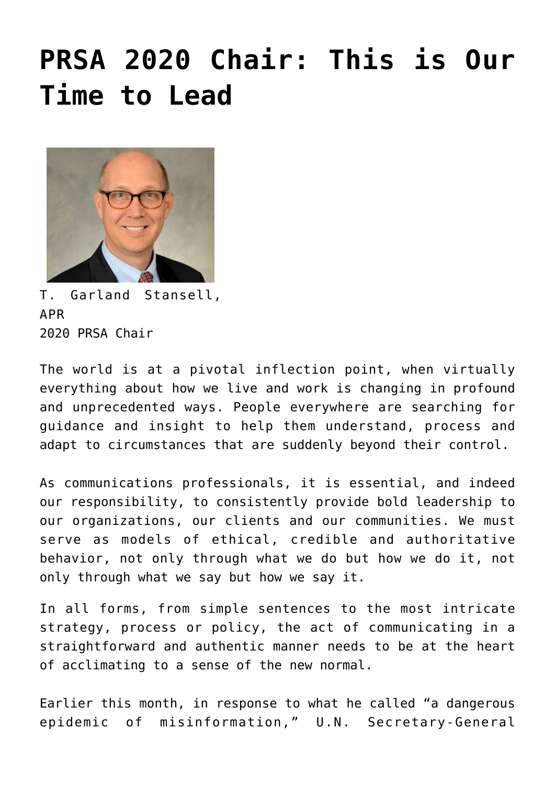## **[PRSA 2020 Chair: This is Our](https://www.commpro.biz/prsa-2020-chair-this-is-our-time-to-lead/) [Time to Lead](https://www.commpro.biz/prsa-2020-chair-this-is-our-time-to-lead/)**



T. Garland Stansell, APR 2020 PRSA Chair

The world is at a pivotal inflection point, when virtually everything about how we live and work is changing in profound and unprecedented ways. People everywhere are searching for guidance and insight to help them understand, process and adapt to circumstances that are suddenly beyond their control.

As [communications](https://www.commpro.biz/) professionals, it is essential, and indeed our responsibility, to consistently provide bold leadership to our organizations, our clients and our communities. We must serve as models of ethical, credible and authoritative behavior, not only through what we do but how we do it, not only through what we say but how we say it.

In all forms, from simple sentences to the most intricate strategy, process or policy, the act of communicating in a straightforward and authentic manner needs to be at the heart of acclimating to a sense of the new normal.

Earlier this month, in response to what he called "a dangerous epidemic of misinformation," U.N. Secretary-General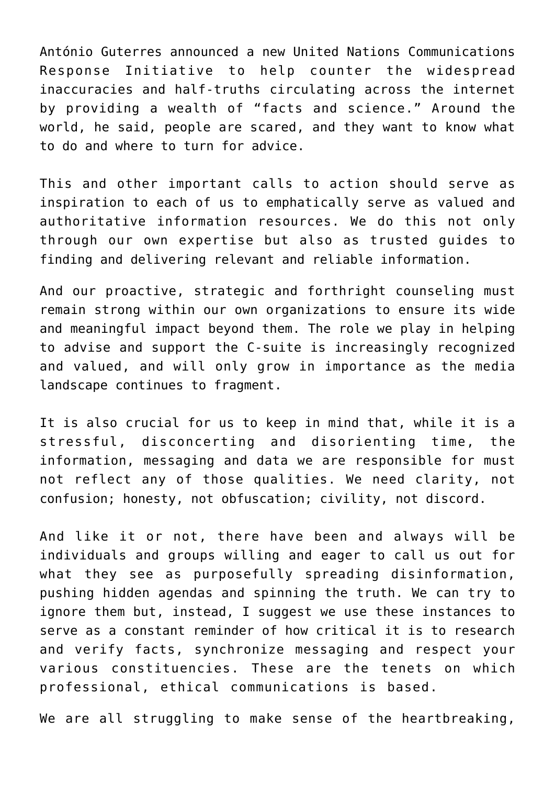António Guterres announced a new United Nations Communications Response Initiative to help counter the widespread inaccuracies and half-truths circulating across the internet by providing a wealth of "facts and science." Around the world, he said, people are scared, and they want to know what to do and where to turn for advice.

This and other important calls to action should serve as inspiration to each of us to emphatically serve as valued and authoritative information resources. We do this not only through our own expertise but also as trusted guides to finding and delivering relevant and reliable information.

And our proactive, strategic and forthright counseling must remain strong within our own organizations to ensure its wide and meaningful impact beyond them. The role we play in helping to advise and support the C-suite is increasingly recognized and valued, and will only grow in importance as the media landscape continues to fragment.

It is also crucial for us to keep in mind that, while it is a stressful, disconcerting and disorienting time, the information, messaging and data we are responsible for must not reflect any of those qualities. We need clarity, not confusion; honesty, not obfuscation; civility, not discord.

And like it or not, there have been and always will be individuals and groups willing and eager to call us out for what they see as purposefully spreading disinformation, pushing hidden agendas and spinning the truth. We can try to ignore them but, instead, I suggest we use these instances to serve as a constant reminder of how critical it is to research and verify facts, synchronize messaging and respect your various constituencies. These are the tenets on which professional, ethical communications is based.

We are all struggling to make sense of the heartbreaking,